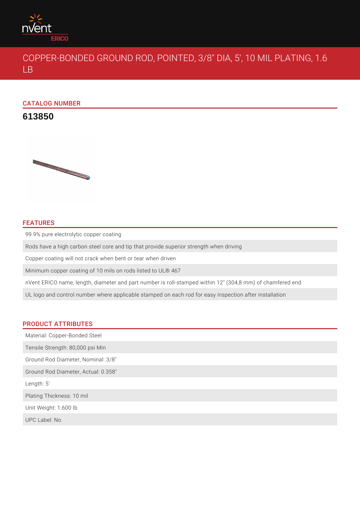

# COPPER-BONDED GROUND ROD, POINTED, 3/8" DIA, 5', 10 MIL PLATING, 1.6 LB

## CATALOG NUMBER

# **613850**



# FEATURES

99.9% pure electrolytic copper coating

Rods have a high carbon steel core and tip that provide superior strength when driving

Copper coating will not crack when bent or tear when driven

Minimum copper coating of 10 mils on rods listed to UL® 467

nVent ERICO name, length, diameter and part number is roll-stamped within 12" (304,8 mm) of chamfered end

UL logo and control number where applicable stamped on each rod for easy inspection after installation

#### PRODUCT ATTRIBUTES

Material: Copper-Bonded Steel Tensile Strength: 80,000 psi Min Ground Rod Diameter, Nominal: 3/8" Ground Rod Diameter, Actual: 0.358" Length: 5' Plating Thickness: 10 mil Unit Weight: 1.600 lb UPC Label: No